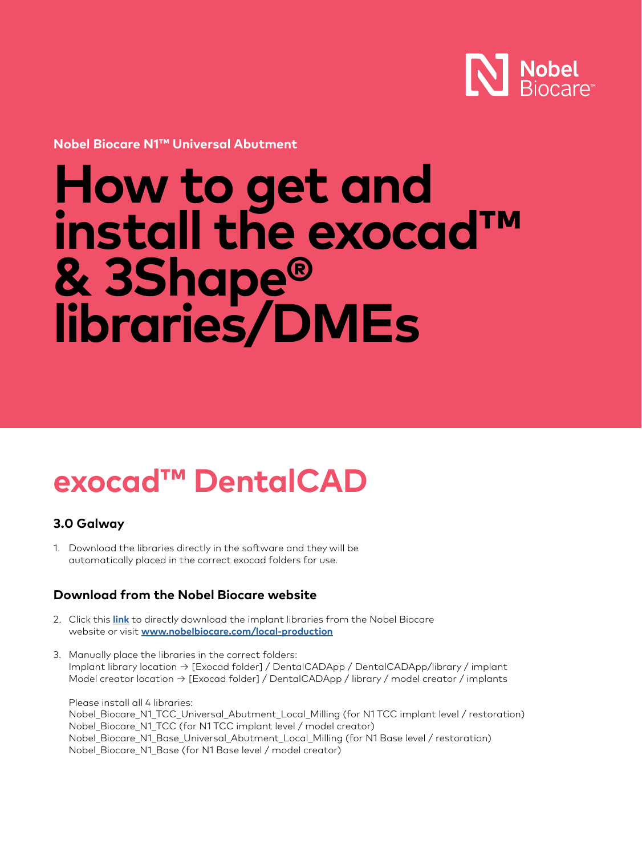

**Nobel Biocare N1™ Universal Abutment**

# **How to get and install the exocad™ & 3Shape® libraries/DMEs**

### **exocad™ DentalCAD**

#### **3.0 Galway**

1. Download the libraries directly in the software and they will be automatically placed in the correct exocad folders for use.

#### **Download from the Nobel Biocare website**

- 2. Click this **[link](https://www.nobelbiocare.com/sites/default/files/Nobel%20Biocare%20N1%20exocad%20libraries.zip)** to directly download the implant libraries from the Nobel Biocare website or visit **[www.nobelbiocare.com/local-production](https://www.nobelbiocare.com/local-production)**
- 3. Manually place the libraries in the correct folders: Implant library location → [Exocad folder] / DentalCADApp / DentalCADApp/library / implant Model creator location → [Exocad folder] / DentalCADApp / library / model creator / implants

Please install all 4 libraries: Nobel\_Biocare\_N1\_TCC\_Universal\_Abutment\_Local\_Milling (for N1 TCC implant level / restoration) Nobel\_Biocare\_N1\_TCC (for N1 TCC implant level / model creator) Nobel\_Biocare\_N1\_Base\_Universal\_Abutment\_Local\_Milling (for N1 Base level / restoration) Nobel\_Biocare\_N1\_Base (for N1 Base level / model creator)